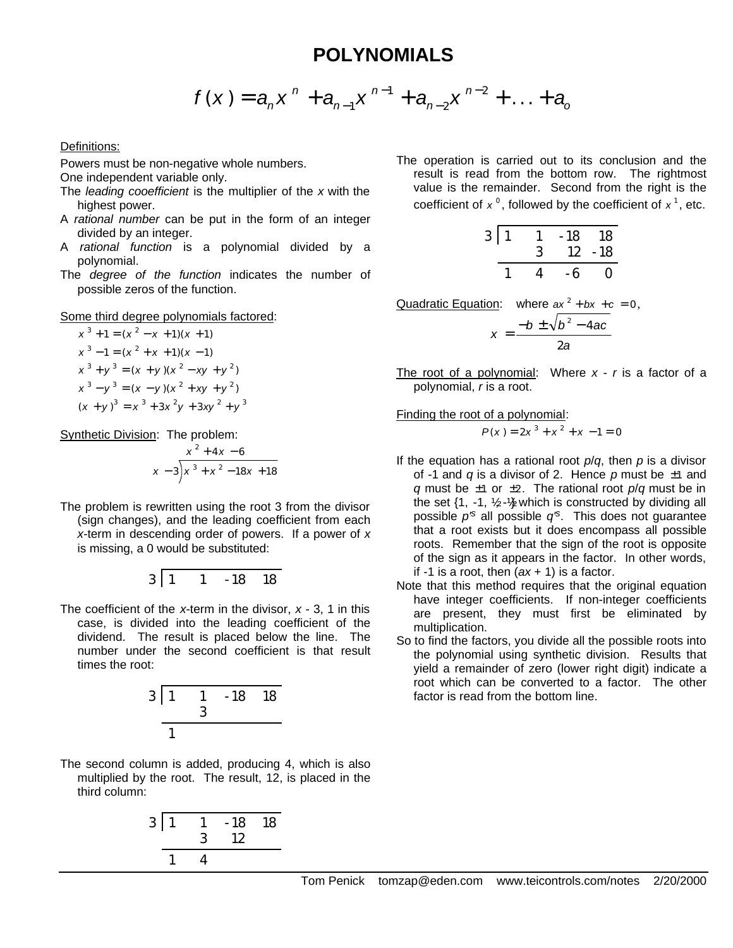## **POLYNOMIALS**

$$
f(x) = a_n x^n + a_{n-1} x^{n-1} + a_{n-2} x^{n-2} + \ldots + a_0
$$

## Definitions:

Powers must be non-negative whole numbers.

One independent variable only.

- The *leading cooefficient* is the multiplier of the *x* with the highest power.
- A *rational number* can be put in the form of an integer divided by an integer.
- A *rational function* is a polynomial divided by a polynomial.
- The *degree of the function* indicates the number of possible zeros of the function.

## Some third degree polynomials factored:

$$
x3 + 1 = (x2 - x + 1)(x + 1)
$$
  
\n
$$
x3 - 1 = (x2 + x + 1)(x - 1)
$$
  
\n
$$
x3 + y3 = (x + y)(x2 - xy + y2)
$$
  
\n
$$
x3 - y3 = (x - y)(x2 + xy + y2)
$$
  
\n
$$
(x + y)3 = x3 + 3x2y + 3xy2 + y3
$$

Synthetic Division: The problem:

$$
\begin{array}{r} x^2 + 4x - 6 \\ x - 3 \overline{\smash)x^3 + x^2 - 18x + 18} \end{array}
$$

The problem is rewritten using the root 3 from the divisor (sign changes), and the leading coefficient from each *x*-term in descending order of powers. If a power of *x* is missing, a 0 would be substituted:

$$
3 \mid 1 \qquad 1 \qquad -18 \qquad 18
$$

The coefficient of the *x*-term in the divisor, *x* - 3, 1 in this case, is divided into the leading coefficient of the dividend. The result is placed below the line. The number under the second coefficient is that result times the root:



The second column is added, producing 4, which is also multiplied by the root. The result, 12, is placed in the third column:



The operation is carried out to its conclusion and the result is read from the bottom row. The rightmost value is the remainder. Second from the right is the coefficient of  $x^0$ , followed by the coefficient of  $x^1$ , etc.

| 3 1 | 3 | $-18$<br>12 | 18<br>$-18$ |
|-----|---|-------------|-------------|
|     |   | - 6         | 0           |

Quadratic Equation: where  $ax^2 + bx + c = 0$ ,  $x = \frac{-b \pm \sqrt{b^2 - 4ac}}{a}$ *a*  $=\frac{-b \pm \sqrt{b^2-4}}{2}$ 2

The root of a polynomial: Where *x* - *r* is a factor of a polynomial, *r* is a root.

## Finding the root of a polynomial:

$$
P(x) = 2x^3 + x^2 + x - 1 = 0
$$

- If the equation has a rational root *p*/*q*, then *p* is a divisor of -1 and *q* is a divisor of 2. Hence *p* must be ±1 and *q* must be ±1 or ±2. The rational root *p*/*q* must be in the set  $\{1, -1, 1/2 - 1/2$  which is constructed by dividing all possible *p'<sup>s</sup>* all possible *q'<sup>s</sup>* . This does not guarantee that a root exists but it does encompass all possible roots. Remember that the sign of the root is opposite of the sign as it appears in the factor. In other words, if -1 is a root, then (*ax* + 1) is a factor.
- Note that this method requires that the original equation have integer coefficients. If non-integer coefficients are present, they must first be eliminated by multiplication.
- So to find the factors, you divide all the possible roots into the polynomial using synthetic division. Results that yield a remainder of zero (lower right digit) indicate a root which can be converted to a factor. The other factor is read from the bottom line.